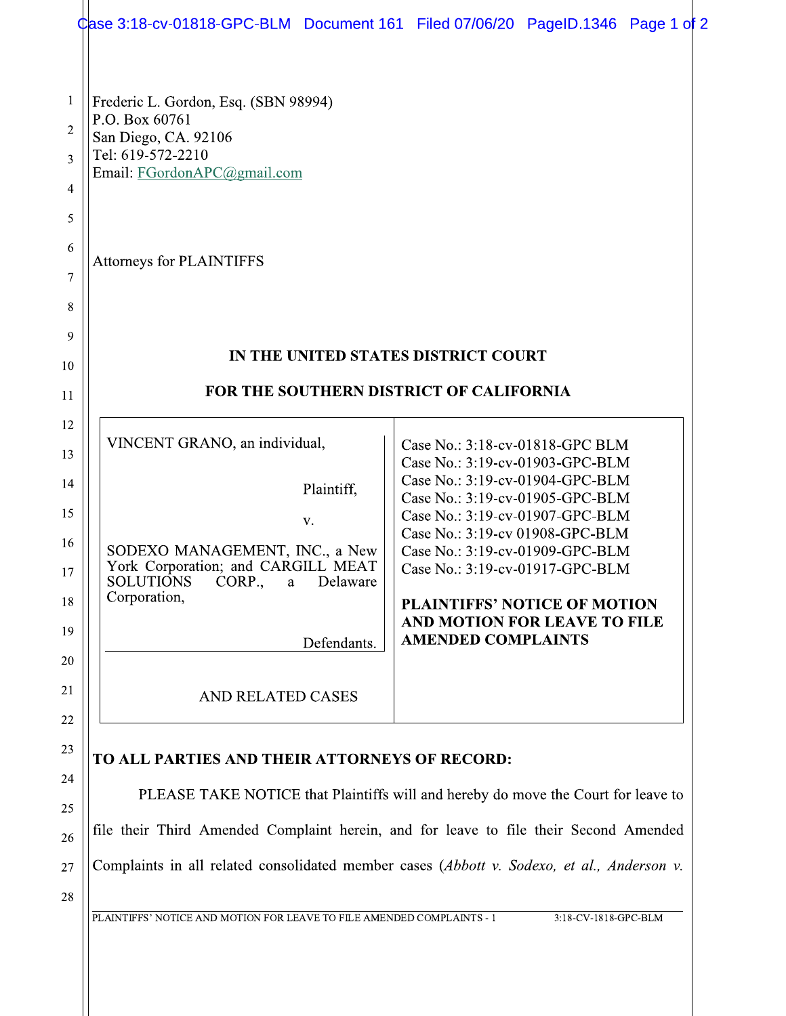|                                                          | Case 3:18-cv-01818-GPC-BLM Document 161 Filed 07/06/20 PageID.1346 Page 1 of 2                                                                                                                                              |  |                                                                                                                                                                                                                                                                                                                                                                                          |  |  |  |  |
|----------------------------------------------------------|-----------------------------------------------------------------------------------------------------------------------------------------------------------------------------------------------------------------------------|--|------------------------------------------------------------------------------------------------------------------------------------------------------------------------------------------------------------------------------------------------------------------------------------------------------------------------------------------------------------------------------------------|--|--|--|--|
| 1<br>$\overline{2}$<br>3<br>$\overline{4}$               | Frederic L. Gordon, Esq. (SBN 98994)<br>P.O. Box 60761<br>San Diego, CA. 92106<br>Tel: 619-572-2210<br>Email: FGordonAPC@gmail.com                                                                                          |  |                                                                                                                                                                                                                                                                                                                                                                                          |  |  |  |  |
| 5<br>6<br>7<br>8                                         | <b>Attorneys for PLAINTIFFS</b>                                                                                                                                                                                             |  |                                                                                                                                                                                                                                                                                                                                                                                          |  |  |  |  |
| 9<br>10                                                  | IN THE UNITED STATES DISTRICT COURT                                                                                                                                                                                         |  |                                                                                                                                                                                                                                                                                                                                                                                          |  |  |  |  |
| 11                                                       | FOR THE SOUTHERN DISTRICT OF CALIFORNIA                                                                                                                                                                                     |  |                                                                                                                                                                                                                                                                                                                                                                                          |  |  |  |  |
| 12<br>13<br>14<br>15<br>16<br>17<br>18<br>19<br>20<br>21 | VINCENT GRANO, an individual,<br>Plaintiff,<br>V.<br>SODEXO MANAGEMENT, INC., a New<br>York Corporation; and CARGILL MEAT<br><b>SOLUTIONS</b><br>CORP.,<br>Delaware<br>a<br>Corporation,<br>Defendants.                     |  | Case No.: 3:18-cv-01818-GPC BLM<br>Case No.: 3:19-cv-01903-GPC-BLM<br>Case No.: 3:19-cv-01904-GPC-BLM<br>Case No.: 3:19-cv-01905-GPC-BLM<br>Case No.: 3:19-cv-01907-GPC-BLM<br>Case No.: 3:19-cv 01908-GPC-BLM<br>Case No.: 3:19-cv-01909-GPC-BLM<br>Case No.: 3:19-cv-01917-GPC-BLM<br><b>PLAINTIFFS' NOTICE OF MOTION</b><br>AND MOTION FOR LEAVE TO FILE<br><b>AMENDED COMPLAINTS</b> |  |  |  |  |
| 22                                                       | AND RELATED CASES                                                                                                                                                                                                           |  |                                                                                                                                                                                                                                                                                                                                                                                          |  |  |  |  |
| 23<br>24<br>25<br>26                                     | TO ALL PARTIES AND THEIR ATTORNEYS OF RECORD:<br>PLEASE TAKE NOTICE that Plaintiffs will and hereby do move the Court for leave to<br>file their Third Amended Complaint herein, and for leave to file their Second Amended |  |                                                                                                                                                                                                                                                                                                                                                                                          |  |  |  |  |
| 27                                                       | Complaints in all related consolidated member cases (Abbott v. Sodexo, et al., Anderson v.                                                                                                                                  |  |                                                                                                                                                                                                                                                                                                                                                                                          |  |  |  |  |

28

PLAINTIFFS' NOTICE AND MOTION FOR LEAVE TO FILE AMENDED COMPLAINTS - 1

3:18-CV-1818-GPC-BLM